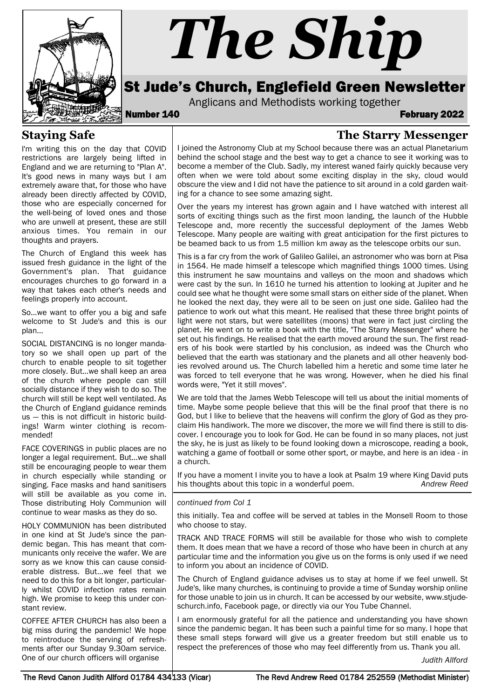

# *The Ship*

# St Jude's Church, Englefield Green Newsletter

Anglicans and Methodists working together<br>February 2022

**The Starry Messenger**

#### **Staying Safe**

I'm writing this on the day that COVID restrictions are largely being lifted in England and we are returning to "Plan A". It's good news in many ways but I am extremely aware that, for those who have already been directly affected by COVID, those who are especially concerned for the well-being of loved ones and those who are unwell at present, these are still anxious times. You remain in our thoughts and prayers.

The Church of England this week has issued fresh guidance in the light of the Government's plan. That guidance encourages churches to go forward in a way that takes each other's needs and feelings properly into account.

So...we want to offer you a big and safe welcome to St Jude's and this is our plan...

SOCIAL DISTANCING is no longer mandatory so we shall open up part of the church to enable people to sit together more closely. But...we shall keep an area of the church where people can still socially distance if they wish to do so. The church will still be kept well ventilated. As the Church of England guidance reminds us — this is not difficult in historic buildings! Warm winter clothing is recommended!

FACE COVERINGS in public places are no longer a legal requirement. But...we shall still be encouraging people to wear them in church especially while standing or singing. Face masks and hand sanitisers will still be available as you come in. Those distributing Holy Communion will continue to wear masks as they do so.

HOLY COMMUNION has been distributed in one kind at St Jude's since the pandemic began. This has meant that communicants only receive the wafer. We are sorry as we know this can cause considerable distress. But...we feel that we need to do this for a bit longer, particularly whilst COVID infection rates remain high. We promise to keep this under constant review.

COFFEE AFTER CHURCH has also been a big miss during the pandemic! We hope to reintroduce the serving of refreshments after our Sunday 9.30am service. One of our church officers will organise

I joined the Astronomy Club at my School because there was an actual Planetarium behind the school stage and the best way to get a chance to see it working was to become a member of the Club. Sadly, my interest waned fairly quickly because very often when we were told about some exciting display in the sky, cloud would obscure the view and I did not have the patience to sit around in a cold garden waiting for a chance to see some amazing sight.

Over the years my interest has grown again and I have watched with interest all sorts of exciting things such as the first moon landing, the launch of the Hubble Telescope and, more recently the successful deployment of the James Webb Telescope. Many people are waiting with great anticipation for the first pictures to be beamed back to us from 1.5 million km away as the telescope orbits our sun.

This is a far cry from the work of Galileo Galilei, an astronomer who was born at Pisa in 1564. He made himself a telescope which magnified things 1000 times. Using this instrument he saw mountains and valleys on the moon and shadows which were cast by the sun. In 1610 he turned his attention to looking at Jupiter and he could see what he thought were some small stars on either side of the planet. When he looked the next day, they were all to be seen on just one side. Galileo had the patience to work out what this meant. He realised that these three bright points of light were not stars, but were satellites (moons) that were in fact just circling the planet. He went on to write a book with the title, "The Starry Messenger" where he set out his findings. He realised that the earth moved around the sun. The first readers of his book were startled by his conclusion, as indeed was the Church who believed that the earth was stationary and the planets and all other heavenly bodies revolved around us. The Church labelled him a heretic and some time later he was forced to tell everyone that he was wrong. However, when he died his final words were, "Yet it still moves".

We are told that the James Webb Telescope will tell us about the initial moments of time. Maybe some people believe that this will be the final proof that there is no God, but I like to believe that the heavens will confirm the glory of God as they proclaim His handiwork. The more we discover, the more we will find there is still to discover. I encourage you to look for God. He can be found in so many places, not just the sky, he is just as likely to be found looking down a microscope, reading a book, watching a game of football or some other sport, or maybe, and here is an idea - in a church.

If you have a moment I invite you to have a look at Psalm 19 where King David puts his thoughts about this topic in a wonderful poem. *Andrew Reed*

#### *continued from Col 1*

this initially. Tea and coffee will be served at tables in the Monsell Room to those who choose to stay.

TRACK AND TRACE FORMS will still be available for those who wish to complete them. It does mean that we have a record of those who have been in church at any particular time and the information you give us on the forms is only used if we need to inform you about an incidence of COVID.

The Church of England guidance advises us to stay at home if we feel unwell. St Jude's, like many churches, is continuing to provide a time of Sunday worship online for those unable to join us in church. It can be accessed by our website, www.stjudeschurch.info, Facebook page, or directly via our You Tube Channel.

I am enormously grateful for all the patience and understanding you have shown since the pandemic began. It has been such a painful time for so many. I hope that these small steps forward will give us a greater freedom but still enable us to respect the preferences of those who may feel differently from us. Thank you all.

*Judith Allford*